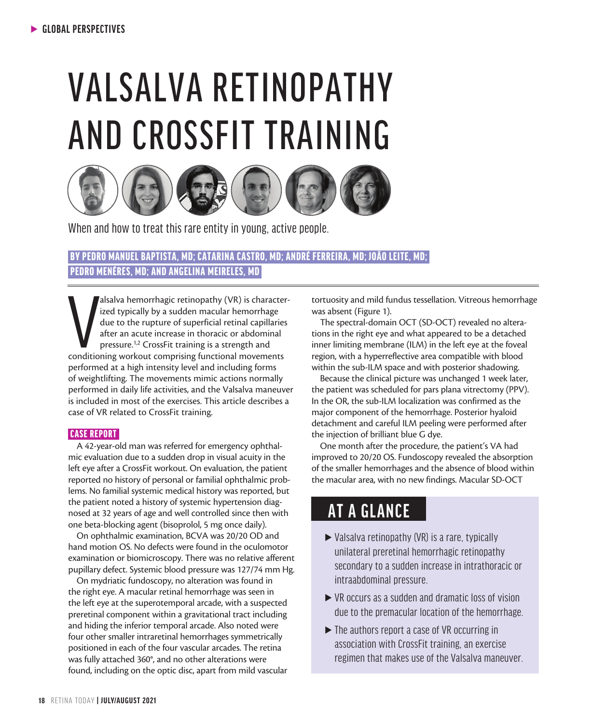# VALSALVA RETINOPATHY AND CROSSFIT TRAINING



When and how to treat this rare entity in young, active people.

### BY PEDRO MANUEL BAPTISTA, MD; CATARINA CASTRO, MD; ANDRÉ FERREIRA, MD; JOÃO LEITE, MD; PEDRO MENÉRES, MD; AND ANGELINA MEIRELES, MD

alsalva hemorrhagic retinopathy (VR) is character ized typically by a sudden macular hemorrhage due to the rupture of superficial retinal capillaries after an acute increase in thoracic or abdominal pressure.<sup>1,2</sup> CrossFit alsalva hemorrhagic retinopathy (VR) is characterized typically by a sudden macular hemorrhage due to the rupture of superficial retinal capillaries after an acute increase in thoracic or abdominal pressure.1,2 CrossFit training is a strength and performed at a high intensity level and including forms of weightlifting. The movements mimic actions normally performed in daily life activities, and the Valsalva maneuver is included in most of the exercises. This article describes a case of VR related to CrossFit training.

#### CASE REPORT

A 42-year-old man was referred for emergency ophthalmic evaluation due to a sudden drop in visual acuity in the left eye after a CrossFit workout. On evaluation, the patient reported no history of personal or familial ophthalmic problems. No familial systemic medical history was reported, but the patient noted a history of systemic hypertension diagnosed at 32 years of age and well controlled since then with one beta-blocking agent (bisoprolol, 5 mg once daily).

On ophthalmic examination, BCVA was 20/20 OD and hand motion OS. No defects were found in the oculomotor examination or biomicroscopy. There was no relative afferent pupillary defect. Systemic blood pressure was 127/74 mm Hg.

On mydriatic fundoscopy, no alteration was found in the right eye. A macular retinal hemorrhage was seen in the left eye at the superotemporal arcade, with a suspected preretinal component within a gravitational tract including and hiding the inferior temporal arcade. Also noted were four other smaller intraretinal hemorrhages symmetrically positioned in each of the four vascular arcades. The retina was fully attached 360°, and no other alterations were found, including on the optic disc, apart from mild vascular

tortuosity and mild fundus tessellation. Vitreous hemorrhage was absent (Figure 1).

The spectral-domain OCT (SD-OCT) revealed no alterations in the right eye and what appeared to be a detached inner limiting membrane (ILM) in the left eye at the foveal region, with a hyperreflective area compatible with blood within the sub-ILM space and with posterior shadowing.

Because the clinical picture was unchanged 1 week later, the patient was scheduled for pars plana vitrectomy (PPV). In the OR, the sub-ILM localization was confirmed as the major component of the hemorrhage. Posterior hyaloid detachment and careful ILM peeling were performed after the injection of brilliant blue G dye.

One month after the procedure, the patient's VA had improved to 20/20 OS. Fundoscopy revealed the absorption of the smaller hemorrhages and the absence of blood within the macular area, with no new findings. Macular SD-OCT

## **AT A GLANCE**

- $\triangleright$  Valsalva retinopathy (VR) is a rare, typically unilateral preretinal hemorrhagic retinopathy secondary to a sudden increase in intrathoracic or intraabdominal pressure.
- $\triangleright$  VR occurs as a sudden and dramatic loss of vision due to the premacular location of the hemorrhage.
- If the authors report a case of VR occurring in association with CrossFit training, an exercise regimen that makes use of the Valsalva maneuver.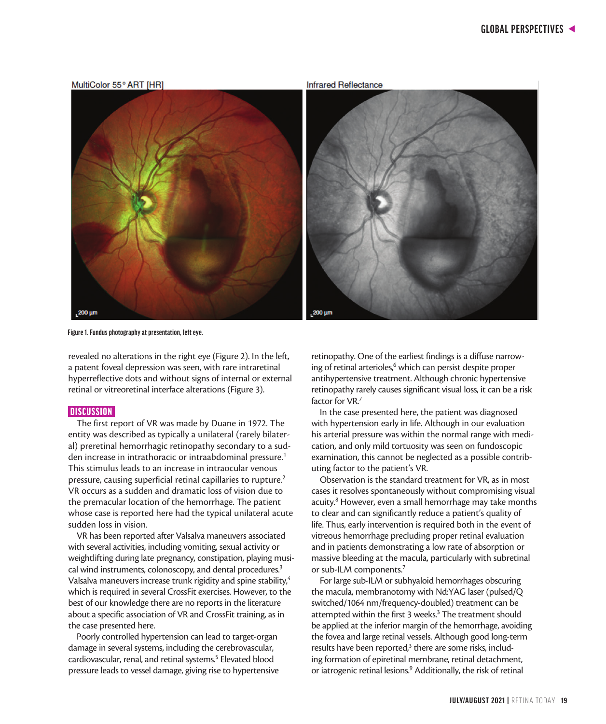

**Figure 1. Fundus photography at presentation, left eye.**

revealed no alterations in the right eye (Figure 2). In the left, a patent foveal depression was seen, with rare intraretinal hyperreflective dots and without signs of internal or external retinal or vitreoretinal interface alterations (Figure 3).

#### **DISCUSSION**

The first report of VR was made by Duane in 1972. The entity was described as typically a unilateral (rarely bilateral) preretinal hemorrhagic retinopathy secondary to a sudden increase in intrathoracic or intraabdominal pressure.<sup>1</sup> This stimulus leads to an increase in intraocular venous pressure, causing superficial retinal capillaries to rupture.<sup>2</sup> VR occurs as a sudden and dramatic loss of vision due to the premacular location of the hemorrhage. The patient whose case is reported here had the typical unilateral acute sudden loss in vision.

VR has been reported after Valsalva maneuvers associated with several activities, including vomiting, sexual activity or weightlifting during late pregnancy, constipation, playing musical wind instruments, colonoscopy, and dental procedures.<sup>3</sup> Valsalva maneuvers increase trunk rigidity and spine stability,<sup>4</sup> which is required in several CrossFit exercises. However, to the best of our knowledge there are no reports in the literature about a specific association of VR and CrossFit training, as in the case presented here.

Poorly controlled hypertension can lead to target-organ damage in several systems, including the cerebrovascular, cardiovascular, renal, and retinal systems.<sup>5</sup> Elevated blood pressure leads to vessel damage, giving rise to hypertensive retinopathy. One of the earliest findings is a diffuse narrowing of retinal arterioles,<sup>6</sup> which can persist despite proper antihypertensive treatment. Although chronic hypertensive retinopathy rarely causes significant visual loss, it can be a risk factor for VR.<sup>7</sup>

In the case presented here, the patient was diagnosed with hypertension early in life. Although in our evaluation his arterial pressure was within the normal range with medication, and only mild tortuosity was seen on fundoscopic examination, this cannot be neglected as a possible contributing factor to the patient's VR.

Observation is the standard treatment for VR, as in most cases it resolves spontaneously without compromising visual acuity.<sup>8</sup> However, even a small hemorrhage may take months to clear and can significantly reduce a patient's quality of life. Thus, early intervention is required both in the event of vitreous hemorrhage precluding proper retinal evaluation and in patients demonstrating a low rate of absorption or massive bleeding at the macula, particularly with subretinal or sub-ILM components.7

For large sub-ILM or subhyaloid hemorrhages obscuring the macula, membranotomy with Nd:YAG laser (pulsed/Q switched/1064 nm/frequency-doubled) treatment can be attempted within the first 3 weeks.<sup>3</sup> The treatment should be applied at the inferior margin of the hemorrhage, avoiding the fovea and large retinal vessels. Although good long-term results have been reported,<sup>3</sup> there are some risks, including formation of epiretinal membrane, retinal detachment, or iatrogenic retinal lesions.<sup>9</sup> Additionally, the risk of retinal